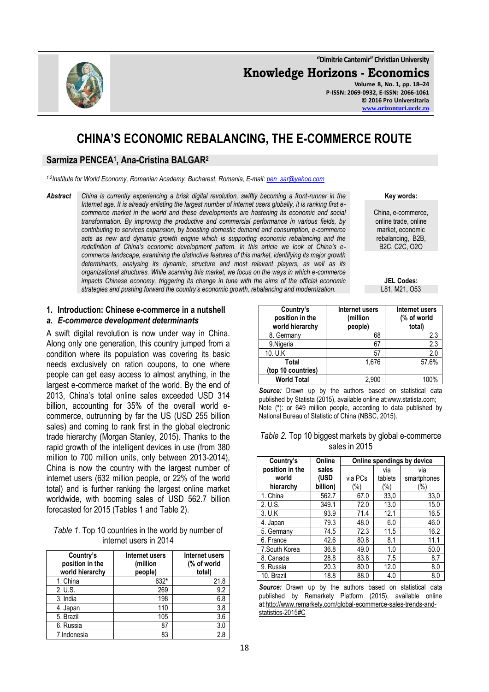

**"Dimitrie Cantemir" Christian University Knowledge Horizons - Economics Volume 8, No. 1, pp. 18–24 P-ISSN: 2069-0932, E-ISSN: 2066-1061 © 2016 Pro Universitaria [www.orizonturi.ucdc.ro](http://www.orizonturi.ucdc.ro/)**

# **CHINA'S ECONOMIC REBALANCING, THE E-COMMERCE ROUTE**

### **Sarmiza PENCEA<sup>1</sup> , Ana-Cristina BALGAR<sup>2</sup>**

*1,2Institute for World Economy, Romanian Academy, Bucharest, Romania, E-mail: [pen\\_sar@yahoo.com](mailto:pen_sar@yahoo.com)*

*Abstract China is currently experiencing a brisk digital revolution, swiftly becoming a front-runner in the Internet age. It is already enlisting the largest number of internet users globally, it is ranking first ecommerce market in the world and these developments are hastening its economic and social transformation. By improving the productive and commercial performance in various fields, by contributing to services expansion, by boosting domestic demand and consumption, e-commerce acts as new and dynamic growth engine which is supporting economic rebalancing and the redefinition of China's economic development pattern. In this article we look at China's ecommerce landscape, examining the distinctive features of this market, identifying its major growth determinants, analysing its dynamic, structure and most relevant players, as well as its organizational structures. While scanning this market, we focus on the ways in which e-commerce impacts Chinese economy, triggering its change in tune with the aims of the official economic strategies and pushing forward the country's economic growth, rebalancing and modernization.* 

**Key words:**

China, e-commerce, online trade, online market, economic rebalancing, B2B, B2C, C2C, O2O

> **JEL Codes:** L81, M21, O53

#### **1. Introduction: Chinese e-commerce in a nutshell**

#### *a. E-commerce development determinants*

A swift digital revolution is now under way in China. Along only one generation, this country jumped from a condition where its population was covering its basic needs exclusively on ration coupons, to one where people can get easy access to almost anything, in the largest e-commerce market of the world. By the end of 2013, China's total online sales exceeded USD 314 billion, accounting for 35% of the overall world ecommerce, outrunning by far the US (USD 255 billion sales) and coming to rank first in the global electronic trade hierarchy (Morgan Stanley, 2015). Thanks to the rapid growth of the intelligent devices in use (from 380 million to 700 million units, only between 2013-2014), China is now the country with the largest number of internet users (632 million people, or 22% of the world total) and is further ranking the largest online market worldwide, with booming sales of USD 562.7 billion forecasted for 2015 (Tables 1 and Table 2).

| Table 1. Top 10 countries in the world by number of |
|-----------------------------------------------------|
| internet users in 2014                              |

| Country's<br>position in the<br>world hierarchy | Internet users<br>(million<br>people) | Internet users<br>(% of world<br>total) |
|-------------------------------------------------|---------------------------------------|-----------------------------------------|
| 1. China                                        | 632*                                  | 21.8                                    |
| 2. U.S.                                         | 269                                   | 9.2                                     |
| 3. India                                        | 198                                   | 6.8                                     |
| 4. Japan                                        | 110                                   | 3.8                                     |
| 5. Brazil                                       | 105                                   | 3.6                                     |
| 6. Russia                                       | 87                                    | 3.0                                     |
| 7. Indonesia                                    | 83                                    | 2.8                                     |

| Country's<br>position in the<br>world hierarchy | Internet users<br>(million<br>people) | Internet users<br>(% of world<br>total) |
|-------------------------------------------------|---------------------------------------|-----------------------------------------|
| 8. Germany                                      | 68                                    | 2.3                                     |
| 9.Nigeria                                       | 67                                    | 2.3                                     |
| 10. U.K                                         | 57                                    | 2.0                                     |
| <b>Total</b>                                    | 1,676                                 | 57.6%                                   |
| (top 10 countries)                              |                                       |                                         |
| <b>World Total</b>                              | 2.900                                 | 100%                                    |

*Source:* Drawn up by the authors based on statistical data published by Statista (2015), available online at[:www.statista.com;](http://www.statista.com/) Note (**\***): or 649 million people, according to data published by National Bureau of Statistic of China (NBSC, 2015).

|  |               | Table 2. Top 10 biggest markets by global e-commerce |
|--|---------------|------------------------------------------------------|
|  | sales in 2015 |                                                      |

| Country's       | Online   | Online spendings by device |         |             |
|-----------------|----------|----------------------------|---------|-------------|
| position in the | sales    |                            | via     | via         |
| world           | (USD     | via PCs                    | tablets | smartphones |
| hierarchy       | billion) | (%)                        | (%)     | $(\%)$      |
| 1. China        | 562.7    | 67.0                       | 33,0    | 33,0        |
| 2. U.S.         | 349.1    | 72.0                       | 13.0    | 15.0        |
| 3. U.K          | 93.9     | 71.4                       | 12.1    | 16.5        |
| 4. Japan        | 79.3     | 48.0                       | 6.0     | 46.0        |
| 5. Germany      | 74.5     | 72.3                       | 11.5    | 16.2        |
| 6. France       | 42.6     | 80.8                       | 8.1     | 11.1        |
| 7. South Korea  | 36.8     | 49.0                       | 1.0     | 50.0        |
| 8. Canada       | 28.8     | 83.8                       | 7.5     | 8.7         |
| 9. Russia       | 20.3     | 80.0                       | 12.0    | 8.0         |
| 10. Brazil      | 18.8     | 88.0                       | 4.0     | 8.0         |

*Source:* Drawn up by the authors based on statistical data published by Remarkety Platform (2015), available online a[t:http://www.remarkety.com/global-ecommerce-sales-trends-and](http://www.remarkety.com/global-ecommerce-sales-trends-and-statistics-2015#C)[statistics-2015#C](http://www.remarkety.com/global-ecommerce-sales-trends-and-statistics-2015#C)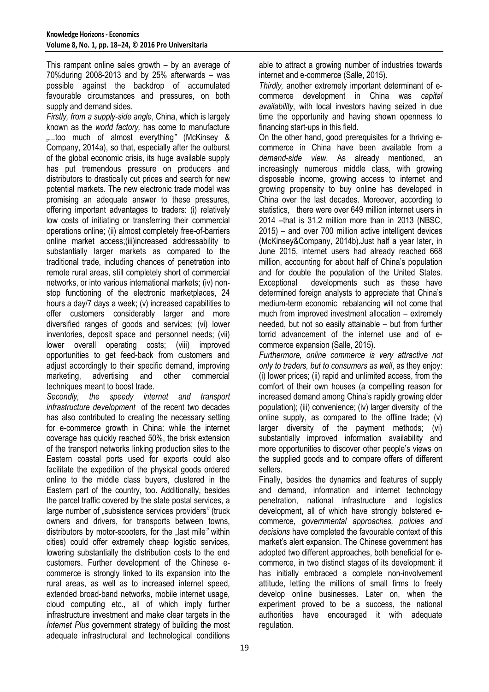This rampant online sales growth – by an average of 70%during 2008-2013 and by 25% afterwards – was possible against the backdrop of accumulated favourable circumstances and pressures, on both supply and demand sides.

*Firstly, from a supply-side angle*, China, which is largely known as the *world factory,* has come to manufacture *"...*too much of almost everything*"* (McKinsey & Company, 2014a), so that, especially after the outburst of the global economic crisis, its huge available supply has put tremendous pressure on producers and distributors to drastically cut prices and search for new potential markets. The new electronic trade model was promising an adequate answer to these pressures, offering important advantages to traders: (i) relatively low costs of initiating or transferring their commercial operations online; (ii) almost completely free-of-barriers online market access;(iii)increased addressability to substantially larger markets as compared to the traditional trade, including chances of penetration into remote rural areas, still completely short of commercial networks, or into various international markets; (iv) nonstop functioning of the electronic marketplaces, 24 hours a day/7 days a week; (v) increased capabilities to offer customers considerably larger and more diversified ranges of goods and services; (vi) lower inventories, deposit space and personnel needs; (vii) lower overall operating costs; (viii) improved opportunities to get feed-back from customers and adjust accordingly to their specific demand, improving marketing, advertising and other commercial techniques meant to boost trade.

*Secondly, the speedy internet and transport infrastructure development* of the recent two decades has also contributed to creating the necessary setting for e-commerce growth in China: while the internet coverage has quickly reached 50%, the brisk extension of the transport networks linking production sites to the Eastern coastal ports used for exports could also facilitate the expedition of the physical goods ordered online to the middle class buyers, clustered in the Eastern part of the country, too. Additionally, besides the parcel traffic covered by the state postal services, a large number of "subsistence services providers" (truck owners and drivers, for transports between towns, distributors by motor-scooters, for the "last mile" within cities) could offer extremely cheap logistic services, lowering substantially the distribution costs to the end customers. Further development of the Chinese ecommerce is strongly linked to its expansion into the rural areas, as well as to increased internet speed, extended broad-band networks, mobile internet usage, cloud computing etc., all of which imply further infrastructure investment and make clear targets in the *Internet Plus* government strategy of building the most adequate infrastructural and technological conditions able to attract a growing number of industries towards internet and e-commerce (Salle, 2015).

*Thirdly,* another extremely important determinant of ecommerce development in China was *capital availability,* with local investors having seized in due time the opportunity and having shown openness to financing start-ups in this field.

On the other hand, good prerequisites for a thriving ecommerce in China have been available from a *demand-side view*. As already mentioned, an increasingly numerous middle class, with growing disposable income, growing access to internet and growing propensity to buy online has developed in China over the last decades. Moreover, according to statistics, there were over 649 million internet users in 2014 –that is 31.2 million more than in 2013 (NBSC, 2015) – and over 700 million active intelligent devices (McKinsey&Company, 2014b).Just half a year later, in June 2015, internet users had already reached 668 million, accounting for about half of China's population and for double the population of the United States. Exceptional developments such as these have determined foreign analysts to appreciate that China's medium-term economic rebalancing will not come that much from improved investment allocation – extremely needed, but not so easily attainable – but from further torrid advancement of the internet use and of ecommerce expansion (Salle, 2015).

*Furthermore, online commerce is very attractive not only to traders, but to consumers as well*, as they enjoy: (i) lower prices; (ii) rapid and unlimited access, from the comfort of their own houses (a compelling reason for increased demand among China's rapidly growing elder population); (iii) convenience; (iv) larger diversity of the online supply, as compared to the offline trade; (v) larger diversity of the payment methods; (vi) substantially improved information availability and more opportunities to discover other people's views on the supplied goods and to compare offers of different sellers.

Finally, besides the dynamics and features of supply and demand, information and internet technology penetration, national infrastructure and logistics development, all of which have strongly bolstered ecommerce, *governmental approaches, policies and decisions* have completed the favourable context of this market's alert expansion. The Chinese government has adopted two different approaches, both beneficial for ecommerce, in two distinct stages of its development: it has initially embraced a complete non-involvement attitude, letting the millions of small firms to freely develop online businesses. Later on, when the experiment proved to be a success, the national authorities have encouraged it with adequate regulation.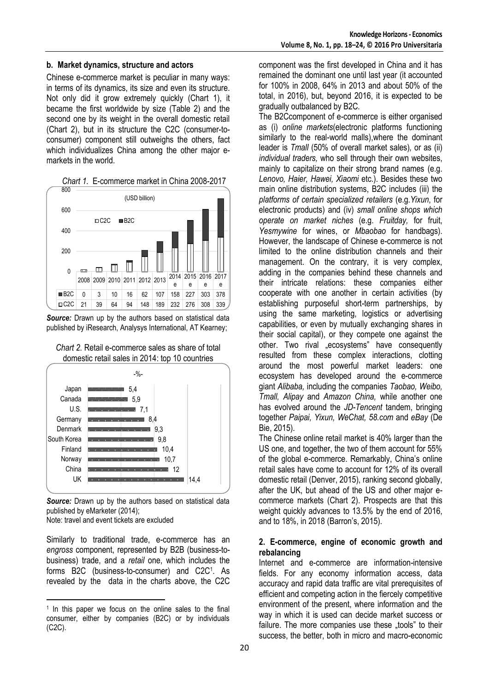#### **b. Market dynamics, structure and actors**

Chinese e-commerce market is peculiar in many ways: in terms of its dynamics, its size and even its structure. Not only did it grow extremely quickly (Chart 1), it became the first worldwide by size (Table 2) and the second one by its weight in the overall domestic retail (Chart 2), but in its structure the C2C (consumer-toconsumer) component still outweighs the others, fact which individualizes China among the other major emarkets in the world.



*Source:* Drawn up by the authors based on statistical data published by iResearch, Analysys International, AT Kearney;





*Source:* Drawn up by the authors based on statistical data published by eMarketer (2014);

Note: travel and event tickets are excluded

 $\overline{a}$ 

Similarly to traditional trade, e-commerce has an *engross* component, represented by B2B (business-tobusiness) trade, and a *retail* one, which includes the forms B2C (business-to-consumer) and C2C<sup>1</sup> . As revealed by the data in the charts above, the C2C

component was the first developed in China and it has remained the dominant one until last year (it accounted for 100% in 2008, 64% in 2013 and about 50% of the total, in 2016), but, beyond 2016, it is expected to be gradually outbalanced by B2C.

The B2Ccomponent of e-commerce is either organised as (i) *online markets*(electronic platforms functioning similarly to the real-world malls),where the dominant leader is *Tmall* (50% of overall market sales)*,* or as (ii) *individual traders,* who sell through their own websites, mainly to capitalize on their strong brand names (e.g. *Lenovo, Haier, Hawei, Xiaomi* etc.). Besides these two main online distribution systems, B2C includes (iii) the *platforms of certain specialized retailers* (e.g.*Yixun*, for electronic products) and (iv) *small online shops which operate on market niches* (e.g. *Fruitday,* for fruit, *Yesmywine* for wines, or *Mbaobao* for handbags). However, the landscape of Chinese e-commerce is not limited to the online distribution channels and their management. On the contrary, it is very complex, adding in the companies behind these channels and their intricate relations: these companies either cooperate with one another in certain activities (by establishing purposeful short-term partnerships, by using the same marketing, logistics or advertising capabilities, or even by mutually exchanging shares in their social capital), or they compete one against the other. Two rival "ecosystems" have consequently resulted from these complex interactions, clotting around the most powerful market leaders: one ecosystem has developed around the e-commerce giant *Alibaba,* including the companies *Taobao, Weibo, Tmall, Alipay* and *Amazon China,* while another one has evolved around the *JD-Tencent* tandem, bringing together *Paipai, Yixun, WeChat, 58.com* and *eBay* (De Bie, 2015).

The Chinese online retail market is 40% larger than the US one, and together, the two of them account for 55% of the global e-commerce. Remarkably, China's online retail sales have come to account for 12% of its overall domestic retail (Denver, 2015), ranking second globally, after the UK, but ahead of the US and other major ecommerce markets (Chart 2). Prospects are that this weight quickly advances to 13.5% by the end of 2016, and to 18%, in 2018 (Barron's, 2015).

#### **2. E-commerce, engine of economic growth and rebalancing**

Internet and e-commerce are information-intensive fields. For any economy information access, data accuracy and rapid data traffic are vital prerequisites of efficient and competing action in the fiercely competitive environment of the present, where information and the way in which it is used can decide market success or failure. The more companies use these ..tools" to their success, the better, both in micro and macro-economic

<sup>1</sup> In this paper we focus on the online sales to the final consumer, either by companies (B2C) or by individuals (C2C).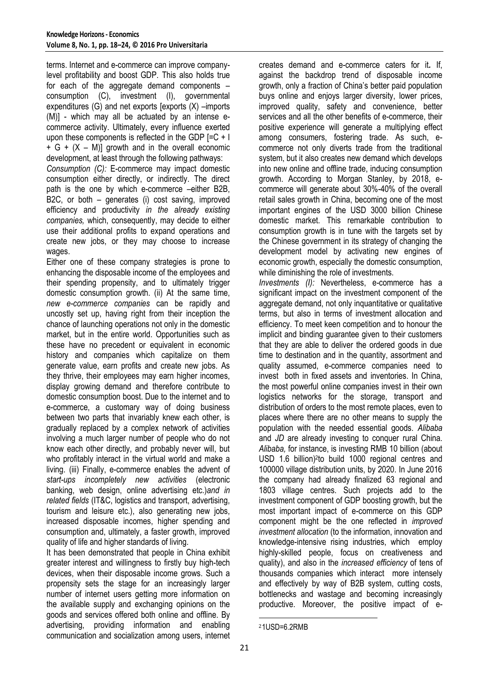terms. Internet and e-commerce can improve companylevel profitability and boost GDP. This also holds true for each of the aggregate demand components – consumption (C), investment (I), governmental expenditures (G) and net exports [exports (X) –imports (M)] - which may all be actuated by an intense ecommerce activity. Ultimately, every influence exerted upon these components is reflected in the GDP  $\left[-C + \right]$  $+ G + (X - M)$ ] growth and in the overall economic development, at least through the following pathways: *Consumption (C):* E-commerce may impact domestic consumption either directly, or indirectly. The direct path is the one by which e-commerce –either B2B,

B2C, or both – generates (i) cost saving, improved efficiency and productivity *in the already existing companies,* which, consequently, may decide to either use their additional profits to expand operations and create new jobs, or they may choose to increase wages.

Either one of these company strategies is prone to enhancing the disposable income of the employees and their spending propensity, and to ultimately trigger domestic consumption growth. (ii) At the same time, *new e-commerce companies* can be rapidly and uncostly set up, having right from their inception the chance of launching operations not only in the domestic market, but in the entire world. Opportunities such as these have no precedent or equivalent in economic history and companies which capitalize on them generate value, earn profits and create new jobs. As they thrive, their employees may earn higher incomes, display growing demand and therefore contribute to domestic consumption boost. Due to the internet and to e-commerce, a customary way of doing business between two parts that invariably knew each other, is gradually replaced by a complex network of activities involving a much larger number of people who do not know each other directly, and probably never will, but who profitably interact in the virtual world and make a living. (iii) Finally, e-commerce enables the advent of *start-ups incompletely new activities* (electronic banking, web design, online advertising etc.)*and in related fields* (IT&C, logistics and transport, advertising, tourism and leisure etc.), also generating new jobs, increased disposable incomes, higher spending and consumption and, ultimately, a faster growth, improved quality of life and higher standards of living.

It has been demonstrated that people in China exhibit greater interest and willingness to firstly buy high-tech devices, when their disposable income grows. Such a propensity sets the stage for an increasingly larger number of internet users getting more information on the available supply and exchanging opinions on the goods and services offered both online and offline. By advertising, providing information and enabling communication and socialization among users, internet

creates demand and e-commerce caters for it*.* If, against the backdrop trend of disposable income growth, only a fraction of China's better paid population buys online and enjoys larger diversity, lower prices, improved quality, safety and convenience, better services and all the other benefits of e-commerce, their positive experience will generate a multiplying effect among consumers, fostering trade. As such, ecommerce not only diverts trade from the traditional system, but it also creates new demand which develops into new online and offline trade, inducing consumption growth. According to Morgan Stanley, by 2018, ecommerce will generate about 30%-40% of the overall retail sales growth in China, becoming one of the most important engines of the USD 3000 billion Chinese domestic market. This remarkable contribution to consumption growth is in tune with the targets set by the Chinese government in its strategy of changing the development model by activating new engines of economic growth, especially the domestic consumption, while diminishing the role of investments.

*Investments (I):* Nevertheless, e-commerce has a significant impact on the investment component of the aggregate demand, not only inquantitative or qualitative terms, but also in terms of investment allocation and efficiency. To meet keen competition and to honour the implicit and binding guarantee given to their customers that they are able to deliver the ordered goods in due time to destination and in the quantity, assortment and quality assumed, e-commerce companies need to invest both in fixed assets and inventories. In China, the most powerful online companies invest in their own logistics networks for the storage, transport and distribution of orders to the most remote places, even to places where there are no other means to supply the population with the needed essential goods. *Alibaba* and *JD* are already investing to conquer rural China. *Alibaba,* for instance, is investing RMB 10 billion (about USD 1.6 billion)<sup>2</sup>to build 1000 regional centres and 100000 village distribution units, by 2020. In June 2016 the company had already finalized 63 regional and 1803 village centres. Such projects add to the investment component of GDP boosting growth, but the most important impact of e-commerce on this GDP component might be the one reflected in *improved investment allocation* (to the information, innovation and knowledge-intensive rising industries, which employ highly-skilled people, focus on creativeness and quality), and also in the *increased efficiency* of tens of thousands companies which interact more intensely and effectively by way of B2B system, cutting costs, bottlenecks and wastage and becoming increasingly productive. Moreover, the positive impact of e-

**<sup>.</sup>** 21USD=6.2RMB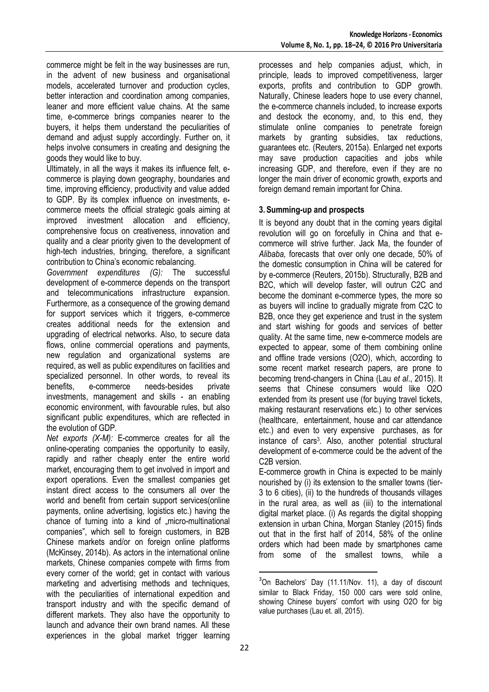commerce might be felt in the way businesses are run, in the advent of new business and organisational models, accelerated turnover and production cycles, better interaction and coordination among companies, leaner and more efficient value chains. At the same time, e-commerce brings companies nearer to the buyers, it helps them understand the peculiarities of demand and adjust supply accordingly. Further on, it helps involve consumers in creating and designing the goods they would like to buy.

Ultimately, in all the ways it makes its influence felt, ecommerce is playing down geography, boundaries and time, improving efficiency, productivity and value added to GDP. By its complex influence on investments, ecommerce meets the official strategic goals aiming at improved investment allocation and efficiency, comprehensive focus on creativeness, innovation and quality and a clear priority given to the development of high-tech industries, bringing, therefore, a significant contribution to China's economic rebalancing.

*Government expenditures (G):* The successful development of e-commerce depends on the transport and telecommunications infrastructure expansion. Furthermore, as a consequence of the growing demand for support services which it triggers, e-commerce creates additional needs for the extension and upgrading of electrical networks. Also, to secure data flows, online commercial operations and payments, new regulation and organizational systems are required, as well as public expenditures on facilities and specialized personnel. In other words, to reveal its benefits, e-commerce needs-besides private investments, management and skills - an enabling economic environment, with favourable rules, but also significant public expenditures, which are reflected in the evolution of GDP.

*Net exports (X-M):* E-commerce creates for all the online-operating companies the opportunity to easily, rapidly and rather cheaply enter the entire world market, encouraging them to get involved in import and export operations. Even the smallest companies get instant direct access to the consumers all over the world and benefit from certain support services(online payments, online advertising, logistics etc.) having the chance of turning into a kind of "micro-multinational companies", which sell to foreign customers, in B2B Chinese markets and/or on foreign online platforms (McKinsey, 2014b). As actors in the international online markets, Chinese companies compete with firms from every corner of the world; get in contact with various marketing and advertising methods and techniques. with the peculiarities of international expedition and transport industry and with the specific demand of different markets. They also have the opportunity to launch and advance their own brand names. All these experiences in the global market trigger learning processes and help companies adjust, which, in principle, leads to improved competitiveness, larger exports, profits and contribution to GDP growth. Naturally, Chinese leaders hope to use every channel, the e-commerce channels included, to increase exports and destock the economy, and, to this end, they stimulate online companies to penetrate foreign markets by granting subsidies, tax reductions, guarantees etc. (Reuters, 2015a). Enlarged net exports may save production capacities and jobs while increasing GDP, and therefore, even if they are no longer the main driver of economic growth, exports and foreign demand remain important for China.

## **3.Summing-up and prospects**

It is beyond any doubt that in the coming years digital revolution will go on forcefully in China and that ecommerce will strive further. Jack Ma, the founder of *Alibaba,* forecasts that over only one decade, 50% of the domestic consumption in China will be catered for by e-commerce (Reuters, 2015b). Structurally, B2B and B2C, which will develop faster, will outrun C2C and become the dominant e-commerce types, the more so as buyers will incline to gradually migrate from C2C to B2B, once they get experience and trust in the system and start wishing for goods and services of better quality. At the same time, new e-commerce models are expected to appear, some of them combining online and offline trade versions (O2O), which, according to some recent market research papers, are prone to becoming trend-changers in China (Lau *et al*., 2015). It seems that Chinese consumers would like O2O extended from its present use (for buying travel tickets, making restaurant reservations etc.) to other services (healthcare, entertainment, house and car attendance etc.) and even to very expensive purchases, as for instance of cars<sup>3</sup>. Also, another potential structural development of e-commerce could be the advent of the C2B version.

E-commerce growth in China is expected to be mainly nourished by (i) its extension to the smaller towns (tier-3 to 6 cities), (ii) to the hundreds of thousands villages in the rural area, as well as (iii) to the international digital market place. (i) As regards the digital shopping extension in urban China, Morgan Stanley (2015) finds out that in the first half of 2014, 58% of the online orders which had been made by smartphones came from some of the smallest towns, while a

**.** 

<sup>&</sup>lt;sup>3</sup>On Bachelors' Day (11.11/Nov. 11), a day of discount similar to Black Friday, 150 000 cars were sold online, showing Chinese buyers' comfort with using O2O for big value purchases (Lau et. all, 2015).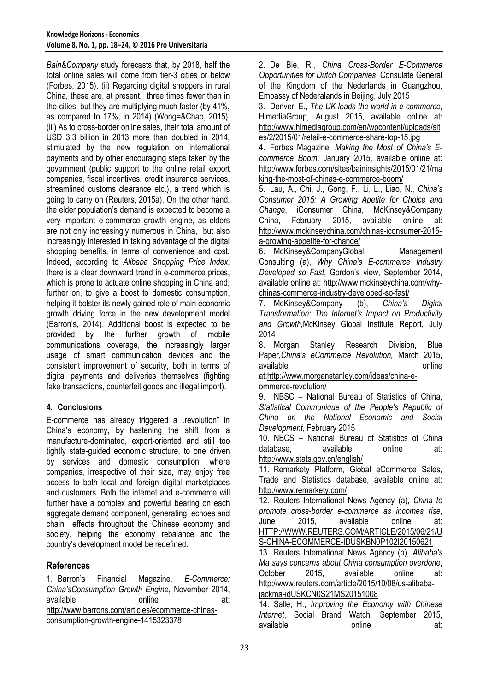*Bain&Company* study forecasts that, by 2018, half the total online sales will come from tier-3 cities or below (Forbes, 2015). (ii) Regarding digital shoppers in rural China, these are, at present, three times fewer than in the cities, but they are multiplying much faster (by 41%, as compared to 17%, in 2014) (Wong=&Chao, 2015). (iii) As to cross-border online sales, their total amount of USD 3.3 billion in 2013 more than doubled in 2014, stimulated by the new regulation on international payments and by other encouraging steps taken by the government (public support to the online retail export companies, fiscal incentives, credit insurance services, streamlined customs clearance etc.), a trend which is going to carry on (Reuters, 2015a). On the other hand, the elder population's demand is expected to become a very important e-commerce growth engine, as elders are not only increasingly numerous in China, but also increasingly interested in taking advantage of the digital shopping benefits, in terms of convenience and cost. Indeed, according to *Alibaba Shopping Price Index*, there is a clear downward trend in e-commerce prices, which is prone to actuate online shopping in China and, further on, to give a boost to domestic consumption. helping it bolster its newly gained role of main economic growth driving force in the new development model (Barron's, 2014). Additional boost is expected to be provided by the further growth of mobile communications coverage, the increasingly larger usage of smart communication devices and the consistent improvement of security, both in terms of digital payments and deliveries themselves (fighting fake transactions, counterfeit goods and illegal import).

## **4. Conclusions**

E-commerce has already triggered a "revolution" in China's economy, by hastening the shift from a manufacture-dominated, export-oriented and still too tightly state-guided economic structure, to one driven by services and domestic consumption, where companies, irrespective of their size, may enjoy free access to both local and foreign digital marketplaces and customers. Both the internet and e-commerce will further have a complex and powerful bearing on each aggregate demand component, generating echoes and chain effects throughout the Chinese economy and society, helping the economy rebalance and the country's development model be redefined.

## **References**

1. Barron's Financial Magazine*, E-Commerce: China'sConsumption Growth Engine*, November 2014, available online at: [http://www.barrons.com/articles/ecommerce-chinas](http://www.barrons.com/articles/ecommerce-chinas-consumption-growth-engine-1415323378)[consumption-growth-engine-1415323378](http://www.barrons.com/articles/ecommerce-chinas-consumption-growth-engine-1415323378)

2. De Bie, R., *China Cross-Border E-Commerce Opportunities for Dutch Companies*, Consulate General of the Kingdom of the Nederlands in Guangzhou, Embassy of Nederalands in Beijing, July 2015

3. Denver, E., *The UK leads the world in e-commerce*, HimediaGroup, August 2015, available online at: [http://www.himediagroup.com/en/wpcontent/uploads/sit](http://www.himediagroup.com/en/wpcontent/uploads/sites/2/2015/01/retail-e-commerce-share-top-15.jpg) [es/2/2015/01/retail-e-commerce-share-top-15.jpg](http://www.himediagroup.com/en/wpcontent/uploads/sites/2/2015/01/retail-e-commerce-share-top-15.jpg)

4. Forbes Magazine, *Making the Most of China's Ecommerce Boom*, January 2015, available online at: [http://www.forbes.com/sites/baininsights/2015/01/21/ma](http://www.forbes.com/sites/baininsights/2015/01/21/making-the-most-of-chinas-e-commerce-boom/) [king-the-most-of-chinas-e-commerce-boom/](http://www.forbes.com/sites/baininsights/2015/01/21/making-the-most-of-chinas-e-commerce-boom/)

5. Lau, A., Chi, J., Gong, F., Li, L., Liao, N., *China's Consumer 2015: A Growing Apetite for Choice and Change*, iConsumer China, McKinsey&Company China, February 2015, available online at: [http://www.mckinseychina.com/chinas-iconsumer-2015](http://www.mckinseychina.com/chinas-iconsumer-2015-a-growing-appetite-for-change/) [a-growing-appetite-for-change/](http://www.mckinseychina.com/chinas-iconsumer-2015-a-growing-appetite-for-change/)

6. McKinsey&CompanyGlobal Management Consulting (a), *Why China's E-commerce Industry Developed so Fast*, Gordon's view, September 2014, available online at: [http://www.mckinseychina.com/why](http://www.mckinseychina.com/why-chinas-commerce-industry-developed-so-fast/)[chinas-commerce-industry-developed-so-fast/](http://www.mckinseychina.com/why-chinas-commerce-industry-developed-so-fast/)

7. McKinsey&Company (b), *China's Digital Transformation: The Internet's Impact on Productivity and Growth,*McKinsey Global Institute Report, July 2014

8. Morgan Stanley Research Division, Blue Paper,*China's eCommerce Revolution,* March 2015, available **online** 

at[:http://www.morganstanley.com/ideas/china-e](http://www.morganstanley.com/ideas/china-e-ommerce-revolution/)[ommerce-revolution/](http://www.morganstanley.com/ideas/china-e-ommerce-revolution/)

9. NBSC – National Bureau of Statistics of China, *Statistical Communique of the People's Republic of China on the National Economic and Social Development*, February 2015

10. NBCS – National Bureau of Statistics of China database, available online at: <http://www.stats.gov.cn/english/>

11. Remarkety Platform, Global eCommerce Sales, Trade and Statistics database, available online at: <http://www.remarkety.com/>

12. Reuters International News Agency (a), *China to promote cross-border e-commerce as incomes rise*, June 2015, available online at: [HTTP://WWW.REUTERS.COM/ARTICLE/2015/06/21/U](http://www.reuters.com/ARTICLE/2015/06/21/US-CHINA-ECOMMERCE-IDUSKBN0P102I20150621) [S-CHINA-ECOMMERCE-IDUSKBN0P102I20150621](http://www.reuters.com/ARTICLE/2015/06/21/US-CHINA-ECOMMERCE-IDUSKBN0P102I20150621)

13. Reuters International News Agency (b), *Alibaba's Ma says concerns about China consumption overdone*, October 2015 available online at: [http://www.reuters.com/article/2015/10/08/us-alibaba](http://www.reuters.com/article/2015/10/08/us-alibaba-jackma-idUSKCN0S21MS20151008)[jackma-idUSKCN0S21MS20151008](http://www.reuters.com/article/2015/10/08/us-alibaba-jackma-idUSKCN0S21MS20151008)

14. Salle, H., *Improving the Economy with Chinese Internet*, Social Brand Watch, September 2015, available **online** at: